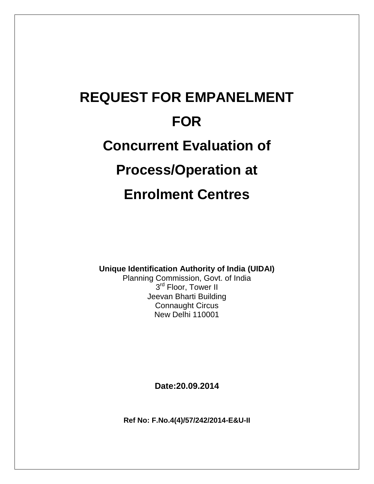# **REQUEST FOR EMPANELMENT FOR Concurrent Evaluation of Process/Operation at Enrolment Centres**

**Unique Identification Authority of India (UIDAI)**

Planning Commission, Govt. of India 3<sup>rd</sup> Floor, Tower II Jeevan Bharti Building Connaught Circus New Delhi 110001

**Date:20.09.2014**

**Ref No: F.No.4(4)/57/242/2014-E&U-II**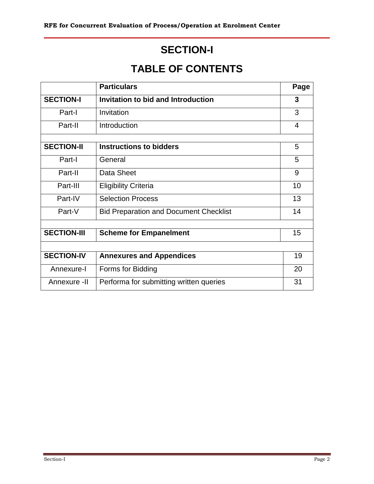# **SECTION-I**

# **TABLE OF CONTENTS**

|                    | <b>Particulars</b>                            | Page |
|--------------------|-----------------------------------------------|------|
| <b>SECTION-I</b>   | <b>Invitation to bid and Introduction</b>     | 3    |
| Part-I             | Invitation                                    | 3    |
| Part-II            | Introduction                                  | 4    |
|                    |                                               |      |
| <b>SECTION-II</b>  | <b>Instructions to bidders</b>                | 5    |
| Part-I             | General                                       | 5    |
| Part-II            | Data Sheet                                    | 9    |
| Part-III           | <b>Eligibility Criteria</b>                   | 10   |
| Part-IV            | <b>Selection Process</b>                      | 13   |
| Part-V             | <b>Bid Preparation and Document Checklist</b> | 14   |
|                    |                                               |      |
| <b>SECTION-III</b> | <b>Scheme for Empanelment</b>                 | 15   |
|                    |                                               |      |
| <b>SECTION-IV</b>  | <b>Annexures and Appendices</b>               | 19   |
| Annexure-I         | Forms for Bidding                             | 20   |
| Annexure -II       | Performa for submitting written queries       | 31   |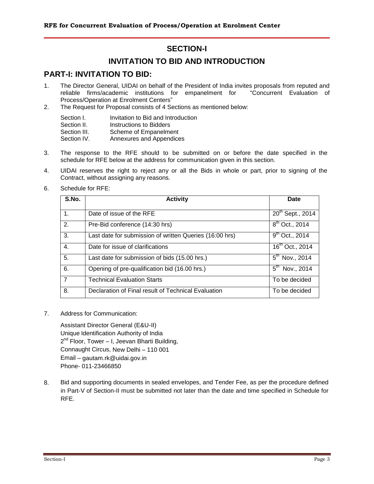### **SECTION-I**

### **INVITATION TO BID AND INTRODUCTION**

### **PART-I: INVITATION TO BID:**

- 1. The Director General, UIDAI on behalf of the President of India invites proposals from reputed and reliable firms/academic institutions for empanelment for "Concurrent Evaluation of Process/Operation at Enrolment Centers"
- 2. The Request for Proposal consists of 4 Sections as mentioned below:

| Section I.   | Invitation to Bid and Introduction |
|--------------|------------------------------------|
| Section II.  | Instructions to Bidders            |
| Section III. | Scheme of Empanelment              |
| Section IV.  | Annexures and Appendices           |

- 3. The response to the RFE should to be submitted on or before the date specified in the schedule for RFE below at the address for communication given in this section.
- 4. UIDAI reserves the right to reject any or all the Bids in whole or part, prior to signing of the Contract, without assigning any reasons.
- 6. Schedule for RFE:

| S.No.          | <b>Activity</b>                                         | <b>Date</b>                   |
|----------------|---------------------------------------------------------|-------------------------------|
| 1.             | Date of issue of the RFE                                | 20th Sept., 2014              |
| 2.             | Pre-Bid conference (14:30 hrs)                          | $8^{th}$ Oct., 2014           |
| 3.             | Last date for submission of written Queries (16:00 hrs) | $9^{th}$ Oct., 2014           |
| 4.             | Date for issue of clarifications                        | $16^{th}$ Oct., 2014          |
| 5.             | Last date for submission of bids (15.00 hrs.)           | $5^{th}$ Nov., 2014           |
| 6.             | Opening of pre-qualification bid (16.00 hrs.)           | $5^{\text{th}}$<br>Nov., 2014 |
| $\overline{7}$ | <b>Technical Evaluation Starts</b>                      | To be decided                 |
| 8.             | Declaration of Final result of Technical Evaluation     | To be decided                 |

7. Address for Communication:

Assistant Director General (E&U-II) Unique Identification Authority of India 2<sup>nd</sup> Floor, Tower – I, Jeevan Bharti Building, Connaught Circus, New Delhi – 110 001 Email – gautam.rk@uidai.gov.in Phone- 011-23466850

8. Bid and supporting documents in sealed envelopes, and Tender Fee, as per the procedure defined in Part-V of Section-II must be submitted not later than the date and time specified in Schedule for RFE.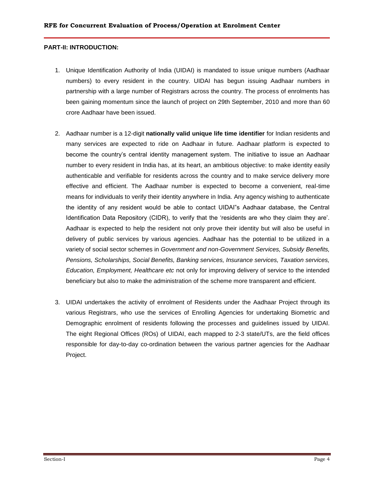#### **PART-II: INTRODUCTION:**

- 1. Unique Identification Authority of India (UIDAI) is mandated to issue unique numbers (Aadhaar numbers) to every resident in the country. UIDAI has begun issuing Aadhaar numbers in partnership with a large number of Registrars across the country. The process of enrolments has been gaining momentum since the launch of project on 29th September, 2010 and more than 60 crore Aadhaar have been issued.
- 2. Aadhaar number is a 12-digit **nationally valid unique life time identifier** for Indian residents and many services are expected to ride on Aadhaar in future. Aadhaar platform is expected to become the country"s central identity management system. The initiative to issue an Aadhaar number to every resident in India has, at its heart, an ambitious objective: to make identity easily authenticable and verifiable for residents across the country and to make service delivery more effective and efficient. The Aadhaar number is expected to become a convenient, real-time means for individuals to verify their identity anywhere in India. Any agency wishing to authenticate the identity of any resident would be able to contact UIDAI"s Aadhaar database, the Central Identification Data Repository (CIDR), to verify that the "residents are who they claim they are". Aadhaar is expected to help the resident not only prove their identity but will also be useful in delivery of public services by various agencies. Aadhaar has the potential to be utilized in a variety of social sector schemes in *Government and non-Government Services, Subsidy Benefits, Pensions, Scholarships, Social Benefits, Banking services, Insurance services, Taxation services, Education, Employment, Healthcare etc* not only for improving delivery of service to the intended beneficiary but also to make the administration of the scheme more transparent and efficient.
- 3. UIDAI undertakes the activity of enrolment of Residents under the Aadhaar Project through its various Registrars, who use the services of Enrolling Agencies for undertaking Biometric and Demographic enrolment of residents following the processes and guidelines issued by UIDAI. The eight Regional Offices (ROs) of UIDAI, each mapped to 2-3 state/UTs, are the field offices responsible for day-to-day co-ordination between the various partner agencies for the Aadhaar Project.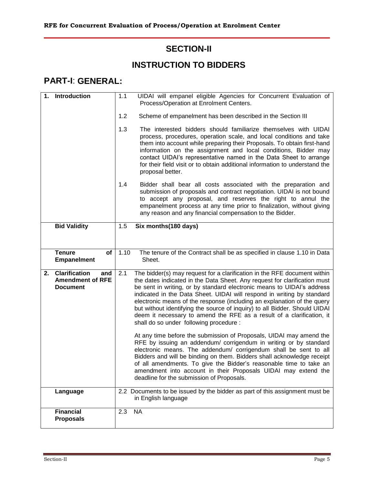# **SECTION-II**

# **INSTRUCTION TO BIDDERS**

# **PART-I**: **GENERAL:**

| 1. | <b>Introduction</b>                                                       | 1.1  | UIDAI will empanel eligible Agencies for Concurrent Evaluation of<br>Process/Operation at Enrolment Centers.                                                                                                                                                                                                                                                                                                                                                                                                                                                                                                                                                                                                                       |
|----|---------------------------------------------------------------------------|------|------------------------------------------------------------------------------------------------------------------------------------------------------------------------------------------------------------------------------------------------------------------------------------------------------------------------------------------------------------------------------------------------------------------------------------------------------------------------------------------------------------------------------------------------------------------------------------------------------------------------------------------------------------------------------------------------------------------------------------|
|    |                                                                           | 1.2  | Scheme of empanelment has been described in the Section III                                                                                                                                                                                                                                                                                                                                                                                                                                                                                                                                                                                                                                                                        |
|    |                                                                           | 1.3  | The interested bidders should familiarize themselves with UIDAI<br>process, procedures, operation scale, and local conditions and take<br>them into account while preparing their Proposals. To obtain first-hand<br>information on the assignment and local conditions, Bidder may<br>contact UIDAI's representative named in the Data Sheet to arrange<br>for their field visit or to obtain additional information to understand the<br>proposal better.                                                                                                                                                                                                                                                                        |
|    |                                                                           | 1.4  | Bidder shall bear all costs associated with the preparation and<br>submission of proposals and contract negotiation. UIDAI is not bound<br>to accept any proposal, and reserves the right to annul the<br>empanelment process at any time prior to finalization, without giving<br>any reason and any financial compensation to the Bidder.                                                                                                                                                                                                                                                                                                                                                                                        |
|    | <b>Bid Validity</b>                                                       | 1.5  | Six months (180 days)                                                                                                                                                                                                                                                                                                                                                                                                                                                                                                                                                                                                                                                                                                              |
|    |                                                                           |      |                                                                                                                                                                                                                                                                                                                                                                                                                                                                                                                                                                                                                                                                                                                                    |
|    | <b>Tenure</b><br>of<br><b>Empanelment</b>                                 | 1.10 | The tenure of the Contract shall be as specified in clause 1.10 in Data<br>Sheet.                                                                                                                                                                                                                                                                                                                                                                                                                                                                                                                                                                                                                                                  |
| 2. | <b>Clarification</b><br>and<br><b>Amendment of RFE</b><br><b>Document</b> | 2.1  | The bidder(s) may request for a clarification in the RFE document within<br>the dates indicated in the Data Sheet. Any request for clarification must<br>be sent in writing, or by standard electronic means to UIDAI's address<br>indicated in the Data Sheet. UIDAI will respond in writing by standard<br>electronic means of the response (including an explanation of the query<br>but without identifying the source of inquiry) to all Bidder. Should UIDAI<br>deem it necessary to amend the RFE as a result of a clarification, it<br>shall do so under following procedure :<br>At any time before the submission of Proposals, UIDAI may amend the<br>RFE by issuing an addendum/ corrigendum in writing or by standard |
|    |                                                                           |      | electronic means. The addendum/ corrigendum shall be sent to all<br>Bidders and will be binding on them. Bidders shall acknowledge receipt<br>of all amendments. To give the Bidder's reasonable time to take an<br>amendment into account in their Proposals UIDAI may extend the<br>deadline for the submission of Proposals.                                                                                                                                                                                                                                                                                                                                                                                                    |
|    | Language                                                                  |      | 2.2 Documents to be issued by the bidder as part of this assignment must be<br>in English language                                                                                                                                                                                                                                                                                                                                                                                                                                                                                                                                                                                                                                 |
|    | <b>Financial</b><br><b>Proposals</b>                                      | 2.3  | <b>NA</b>                                                                                                                                                                                                                                                                                                                                                                                                                                                                                                                                                                                                                                                                                                                          |
|    |                                                                           |      |                                                                                                                                                                                                                                                                                                                                                                                                                                                                                                                                                                                                                                                                                                                                    |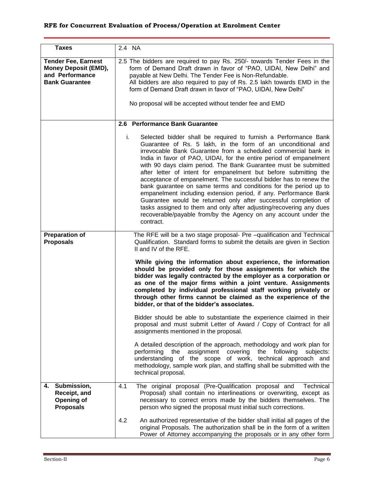| <b>Taxes</b>                                                                                          | 2.4 NA                                                                                                                                                                                                                                                                                                                                                                                                                                                                                                                                                                                                                                                                                                                                                                                                                                                      |
|-------------------------------------------------------------------------------------------------------|-------------------------------------------------------------------------------------------------------------------------------------------------------------------------------------------------------------------------------------------------------------------------------------------------------------------------------------------------------------------------------------------------------------------------------------------------------------------------------------------------------------------------------------------------------------------------------------------------------------------------------------------------------------------------------------------------------------------------------------------------------------------------------------------------------------------------------------------------------------|
| <b>Tender Fee, Earnest</b><br><b>Money Deposit (EMD),</b><br>and Performance<br><b>Bank Guarantee</b> | 2.5 The bidders are required to pay Rs. 250/- towards Tender Fees in the<br>form of Demand Draft drawn in favor of "PAO, UIDAI, New Delhi" and<br>payable at New Delhi. The Tender Fee is Non-Refundable.<br>All bidders are also required to pay of Rs. 2.5 lakh towards EMD in the<br>form of Demand Draft drawn in favor of "PAO, UIDAI, New Delhi"<br>No proposal will be accepted without tender fee and EMD                                                                                                                                                                                                                                                                                                                                                                                                                                           |
|                                                                                                       | 2.6 Performance Bank Guarantee                                                                                                                                                                                                                                                                                                                                                                                                                                                                                                                                                                                                                                                                                                                                                                                                                              |
|                                                                                                       | i.<br>Selected bidder shall be required to furnish a Performance Bank<br>Guarantee of Rs. 5 lakh, in the form of an unconditional and<br>irrevocable Bank Guarantee from a scheduled commercial bank in<br>India in favor of PAO, UIDAI, for the entire period of empanelment<br>with 90 days claim period. The Bank Guarantee must be submitted<br>after letter of intent for empanelment but before submitting the<br>acceptance of empanelment. The successful bidder has to renew the<br>bank guarantee on same terms and conditions for the period up to<br>empanelment including extension period, if any. Performance Bank<br>Guarantee would be returned only after successful completion of<br>tasks assigned to them and only after adjusting/recovering any dues<br>recoverable/payable from/by the Agency on any account under the<br>contract. |
| <b>Preparation of</b><br><b>Proposals</b>                                                             | The RFE will be a two stage proposal- Pre -qualification and Technical<br>Qualification. Standard forms to submit the details are given in Section<br>II and IV of the RFE.                                                                                                                                                                                                                                                                                                                                                                                                                                                                                                                                                                                                                                                                                 |
|                                                                                                       | While giving the information about experience, the information<br>should be provided only for those assignments for which the<br>bidder was legally contracted by the employer as a corporation or<br>as one of the major firms within a joint venture. Assignments<br>completed by individual professional staff working privately or<br>through other firms cannot be claimed as the experience of the<br>bidder, or that of the bidder's associates.                                                                                                                                                                                                                                                                                                                                                                                                     |
|                                                                                                       | Bidder should be able to substantiate the experience claimed in their<br>proposal and must submit Letter of Award / Copy of Contract for all<br>assignments mentioned in the proposal.                                                                                                                                                                                                                                                                                                                                                                                                                                                                                                                                                                                                                                                                      |
|                                                                                                       | A detailed description of the approach, methodology and work plan for<br>assignment<br>the<br>covering<br>the following<br>performing<br>subjects:<br>understanding of the scope of work, technical approach and<br>methodology, sample work plan, and staffing shall be submitted with the<br>technical proposal.                                                                                                                                                                                                                                                                                                                                                                                                                                                                                                                                          |
| Submission,<br>4.<br>Receipt, and<br>Opening of<br><b>Proposals</b>                                   | 4.1<br>The original proposal (Pre-Qualification proposal and<br>Technical<br>Proposal) shall contain no interlineations or overwriting, except as<br>necessary to correct errors made by the bidders themselves. The<br>person who signed the proposal must initial such corrections.                                                                                                                                                                                                                                                                                                                                                                                                                                                                                                                                                                       |
|                                                                                                       | 4.2<br>An authorized representative of the bidder shall initial all pages of the<br>original Proposals. The authorization shall be in the form of a written<br>Power of Attorney accompanying the proposals or in any other form                                                                                                                                                                                                                                                                                                                                                                                                                                                                                                                                                                                                                            |

,我们就会在这里,我们就会在这里的时候,我们就会在这里,我们就会在这里,我们就会在这里,我们就会在这里,我们就会在这里,我们就会在这里,我们就会在这里,我们就会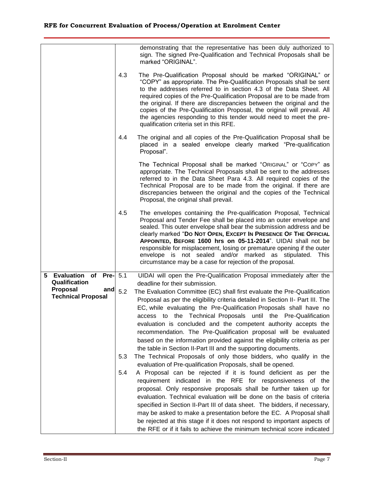|                                  |                   | demonstrating that the representative has been duly authorized to<br>sign. The signed Pre-Qualification and Technical Proposals shall be<br>marked "ORIGINAL".                                                                                                                                                                                                                                                                                                                                                                                                                                                                                                                                                                                                                                                                                                                                                                   |
|----------------------------------|-------------------|----------------------------------------------------------------------------------------------------------------------------------------------------------------------------------------------------------------------------------------------------------------------------------------------------------------------------------------------------------------------------------------------------------------------------------------------------------------------------------------------------------------------------------------------------------------------------------------------------------------------------------------------------------------------------------------------------------------------------------------------------------------------------------------------------------------------------------------------------------------------------------------------------------------------------------|
|                                  | 4.3               | The Pre-Qualification Proposal should be marked "ORIGINAL" or<br>"COPY" as appropriate. The Pre-Qualification Proposals shall be sent<br>to the addresses referred to in section 4.3 of the Data Sheet. All<br>required copies of the Pre-Qualification Proposal are to be made from<br>the original. If there are discrepancies between the original and the<br>copies of the Pre-Qualification Proposal, the original will prevail. All<br>the agencies responding to this tender would need to meet the pre-<br>qualification criteria set in this RFE.                                                                                                                                                                                                                                                                                                                                                                       |
|                                  | 4.4               | The original and all copies of the Pre-Qualification Proposal shall be<br>placed in a sealed envelope clearly marked "Pre-qualification<br>Proposal".                                                                                                                                                                                                                                                                                                                                                                                                                                                                                                                                                                                                                                                                                                                                                                            |
|                                  |                   | The Technical Proposal shall be marked "ORIGINAL" or "COPY" as<br>appropriate. The Technical Proposals shall be sent to the addresses<br>referred to in the Data Sheet Para 4.3. All required copies of the<br>Technical Proposal are to be made from the original. If there are<br>discrepancies between the original and the copies of the Technical<br>Proposal, the original shall prevail.                                                                                                                                                                                                                                                                                                                                                                                                                                                                                                                                  |
|                                  | 4.5               | The envelopes containing the Pre-qualification Proposal, Technical<br>Proposal and Tender Fee shall be placed into an outer envelope and<br>sealed. This outer envelope shall bear the submission address and be<br>clearly marked "Do Not OPEN, ExcePT In PRESENCE OF THE OFFICIAL<br>APPOINTED, BEFORE 1600 hrs on 05-11-2014". UIDAI shall not be<br>responsible for misplacement, losing or premature opening if the outer<br>envelope is not sealed and/or marked as stipulated. This<br>circumstance may be a case for rejection of the proposal.                                                                                                                                                                                                                                                                                                                                                                          |
| 5 Evaluation of Pre- 5.1         |                   | UIDAI will open the Pre-Qualification Proposal immediately after the                                                                                                                                                                                                                                                                                                                                                                                                                                                                                                                                                                                                                                                                                                                                                                                                                                                             |
| Qualification<br>Proposal        |                   | deadline for their submission.                                                                                                                                                                                                                                                                                                                                                                                                                                                                                                                                                                                                                                                                                                                                                                                                                                                                                                   |
| and<br><b>Technical Proposal</b> | 5.2<br>5.3<br>5.4 | The Evaluation Committee (EC) shall first evaluate the Pre-Qualification<br>Proposal as per the eligibility criteria detailed in Section II- Part III. The<br>EC, while evaluating the Pre-Qualification Proposals shall have no<br>access to the Technical Proposals until the Pre-Qualification<br>evaluation is concluded and the competent authority accepts the<br>recommendation. The Pre-Qualification proposal will be evaluated<br>based on the information provided against the eligibility criteria as per<br>the table in Section II-Part III and the supporting documents.<br>The Technical Proposals of only those bidders, who qualify in the<br>evaluation of Pre-qualification Proposals, shall be opened.<br>A Proposal can be rejected if it is found deficient as per the<br>requirement indicated in the RFE for responsiveness of the<br>proposal. Only responsive proposals shall be further taken up for |
|                                  |                   | evaluation. Technical evaluation will be done on the basis of criteria<br>specified in Section II-Part III of data sheet. The bidders, if necessary,<br>may be asked to make a presentation before the EC. A Proposal shall<br>be rejected at this stage if it does not respond to important aspects of<br>the RFE or if it fails to achieve the minimum technical score indicated                                                                                                                                                                                                                                                                                                                                                                                                                                                                                                                                               |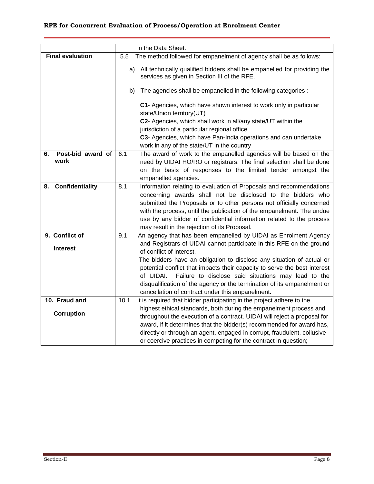|                              |      | in the Data Sheet.                                                                                                         |
|------------------------------|------|----------------------------------------------------------------------------------------------------------------------------|
| <b>Final evaluation</b>      | 5.5  | The method followed for empanelment of agency shall be as follows:                                                         |
|                              |      | a) All technically qualified bidders shall be empanelled for providing the<br>services as given in Section III of the RFE. |
|                              | b)   | The agencies shall be empanelled in the following categories :                                                             |
|                              |      | C1- Agencies, which have shown interest to work only in particular<br>state/Union territory(UT)                            |
|                              |      | C2- Agencies, which shall work in all/any state/UT within the                                                              |
|                              |      | jurisdiction of a particular regional office                                                                               |
|                              |      | C3- Agencies, which have Pan-India operations and can undertake                                                            |
|                              |      | work in any of the state/UT in the country                                                                                 |
| Post-bid award of<br>6.      | 6.1  | The award of work to the empanelled agencies will be based on the                                                          |
| work                         |      | need by UIDAI HO/RO or registrars. The final selection shall be done                                                       |
|                              |      | on the basis of responses to the limited tender amongst the                                                                |
|                              |      | empanelled agencies.                                                                                                       |
| <b>Confidentiality</b><br>8. | 8.1  | Information relating to evaluation of Proposals and recommendations                                                        |
|                              |      | concerning awards shall not be disclosed to the bidders who                                                                |
|                              |      | submitted the Proposals or to other persons not officially concerned                                                       |
|                              |      | with the process, until the publication of the empanelment. The undue                                                      |
|                              |      | use by any bidder of confidential information related to the process                                                       |
|                              |      | may result in the rejection of its Proposal.                                                                               |
| 9. Conflict of               | 9.1  | An agency that has been empanelled by UIDAI as Enrolment Agency                                                            |
| <b>Interest</b>              |      | and Registrars of UIDAI cannot participate in this RFE on the ground                                                       |
|                              |      | of conflict of interest.<br>The bidders have an obligation to disclose any situation of actual or                          |
|                              |      | potential conflict that impacts their capacity to serve the best interest                                                  |
|                              |      | Failure to disclose said situations may lead to the<br>of UIDAI.                                                           |
|                              |      | disqualification of the agency or the termination of its empanelment or                                                    |
|                              |      | cancellation of contract under this empanelment.                                                                           |
| 10. Fraud and                | 10.1 | It is required that bidder participating in the project adhere to the                                                      |
|                              |      | highest ethical standards, both during the empanelment process and                                                         |
| <b>Corruption</b>            |      | throughout the execution of a contract. UIDAI will reject a proposal for                                                   |
|                              |      | award, if it determines that the bidder(s) recommended for award has,                                                      |
|                              |      | directly or through an agent, engaged in corrupt, fraudulent, collusive                                                    |
|                              |      | or coercive practices in competing for the contract in question;                                                           |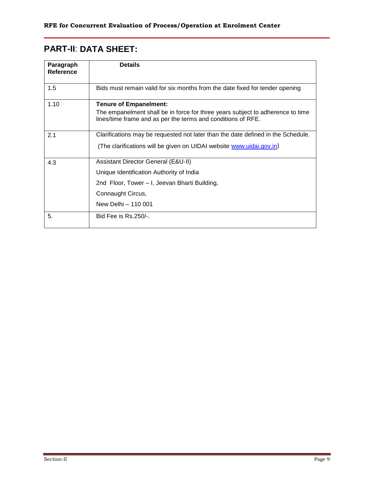# **PART-II**: **DATA SHEET:**

| Paragraph<br>Reference | <b>Details</b>                                                                                                                                                                  |
|------------------------|---------------------------------------------------------------------------------------------------------------------------------------------------------------------------------|
| 1.5                    | Bids must remain valid for six months from the date fixed for tender opening                                                                                                    |
| 1.10                   | <b>Tenure of Empanelment:</b><br>The empanelment shall be in force for three years subject to adherence to time<br>lines/time frame and as per the terms and conditions of RFE. |
| 2.1                    | Clarifications may be requested not later than the date defined in the Schedule.<br>(The clarifications will be given on UIDAI website www.uidai.gov.in)                        |
| 4.3                    | Assistant Director General (E&U-II)<br>Unique Identification Authority of India<br>2nd Floor, Tower – I, Jeevan Bharti Building,<br>Connaught Circus,<br>New Delhi - 110 001    |
| 5.                     | Bid Fee is Rs.250/-.                                                                                                                                                            |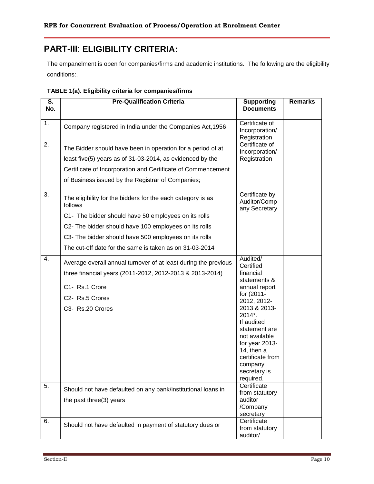# **PART-III**: **ELIGIBILITY CRITERIA:**

The empanelment is open for companies/firms and academic institutions. The following are the eligibility conditions:.

| S.<br>No. | <b>Pre-Qualification Criteria</b>                                      | <b>Supporting</b><br><b>Documents</b>           | <b>Remarks</b> |
|-----------|------------------------------------------------------------------------|-------------------------------------------------|----------------|
|           |                                                                        |                                                 |                |
| 1.        | Company registered in India under the Companies Act, 1956              | Certificate of<br>Incorporation/                |                |
|           |                                                                        | Registration                                    |                |
| 2.        | The Bidder should have been in operation for a period of at            | Certificate of<br>Incorporation/                |                |
|           | least five(5) years as of 31-03-2014, as evidenced by the              | Registration                                    |                |
|           | Certificate of Incorporation and Certificate of Commencement           |                                                 |                |
|           | of Business issued by the Registrar of Companies;                      |                                                 |                |
| 3.        | The eligibility for the bidders for the each category is as<br>follows | Certificate by<br>Auditor/Comp<br>any Secretary |                |
|           | C1- The bidder should have 50 employees on its rolls                   |                                                 |                |
|           | C2- The bidder should have 100 employees on its rolls                  |                                                 |                |
|           | C3- The bidder should have 500 employees on its rolls                  |                                                 |                |
|           | The cut-off date for the same is taken as on 31-03-2014                |                                                 |                |
| 4.        | Average overall annual turnover of at least during the previous        | Audited/                                        |                |
|           | three financial years (2011-2012, 2012-2013 & 2013-2014)               | Certified<br>financial                          |                |
|           | C1- Rs.1 Crore                                                         | statements &<br>annual report                   |                |
|           | C2- Rs.5 Crores                                                        | for (2011-                                      |                |
|           | C3- Rs.20 Crores                                                       | 2012, 2012-<br>2013 & 2013-                     |                |
|           |                                                                        | 2014*.                                          |                |
|           |                                                                        | If audited<br>statement are                     |                |
|           |                                                                        | not available                                   |                |
|           |                                                                        | for year 2013-                                  |                |
|           |                                                                        | 14, then $a$<br>certificate from                |                |
|           |                                                                        | company                                         |                |
|           |                                                                        | secretary is                                    |                |
|           |                                                                        | required.<br>Certificate                        |                |
| 5.        | Should not have defaulted on any bank/institutional loans in           | from statutory                                  |                |
|           | the past three(3) years                                                | auditor                                         |                |
|           |                                                                        | /Company<br>secretary                           |                |
| 6.        |                                                                        | Certificate                                     |                |
|           | Should not have defaulted in payment of statutory dues or              | from statutory<br>auditor/                      |                |

| TABLE 1(a). Eligibility criteria for companies/firms |  |
|------------------------------------------------------|--|
|------------------------------------------------------|--|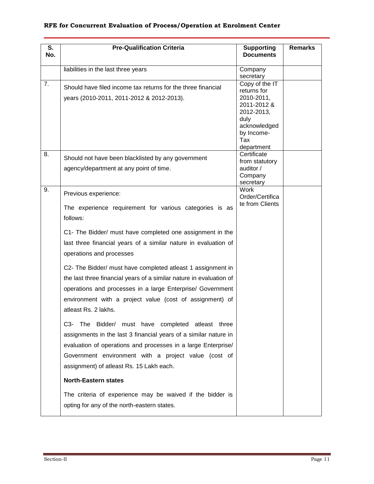| S.<br>No. | <b>Pre-Qualification Criteria</b>                                                                                                                                                                                                                                                                       | <b>Supporting</b><br><b>Documents</b>                                                                                               | <b>Remarks</b> |
|-----------|---------------------------------------------------------------------------------------------------------------------------------------------------------------------------------------------------------------------------------------------------------------------------------------------------------|-------------------------------------------------------------------------------------------------------------------------------------|----------------|
|           | liabilities in the last three years                                                                                                                                                                                                                                                                     | Company<br>secretary                                                                                                                |                |
| 7.        | Should have filed income tax returns for the three financial<br>years (2010-2011, 2011-2012 & 2012-2013).                                                                                                                                                                                               | Copy of the IT<br>returns for<br>2010-2011,<br>2011-2012 &<br>2012-2013,<br>duly<br>acknowledged<br>by Income-<br>Tax<br>department |                |
| 8.        | Should not have been blacklisted by any government<br>agency/department at any point of time.                                                                                                                                                                                                           | Certificate<br>from statutory<br>auditor /<br>Company<br>secretary                                                                  |                |
| 9.        | Previous experience:<br>The experience requirement for various categories is as<br>follows:                                                                                                                                                                                                             | <b>Work</b><br>Order/Certifica<br>te from Clients                                                                                   |                |
|           | C1- The Bidder/ must have completed one assignment in the<br>last three financial years of a similar nature in evaluation of<br>operations and processes                                                                                                                                                |                                                                                                                                     |                |
|           | C2- The Bidder/ must have completed atleast 1 assignment in<br>the last three financial years of a similar nature in evaluation of<br>operations and processes in a large Enterprise/ Government<br>environment with a project value (cost of assignment) of<br>atleast Rs. 2 lakhs.                    |                                                                                                                                     |                |
|           | Bidder/ must have completed atleast three<br>C3-<br><b>The</b><br>assignments in the last 3 financial years of a similar nature in<br>evaluation of operations and processes in a large Enterprise/<br>Government environment with a project value (cost of<br>assignment) of atleast Rs. 15 Lakh each. |                                                                                                                                     |                |
|           | <b>North-Eastern states</b>                                                                                                                                                                                                                                                                             |                                                                                                                                     |                |
|           | The criteria of experience may be waived if the bidder is<br>opting for any of the north-eastern states.                                                                                                                                                                                                |                                                                                                                                     |                |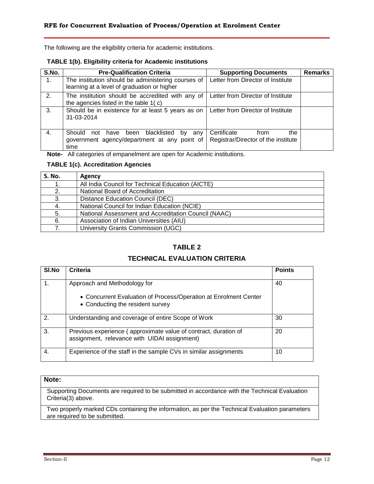The following are the eligibility criteria for academic institutions.

#### **TABLE 1(b). Eligibility criteria for Academic institutions**

| S.No. | <b>Pre-Qualification Criteria</b>                                                                     | <b>Supporting Documents</b>                                       | <b>Remarks</b> |
|-------|-------------------------------------------------------------------------------------------------------|-------------------------------------------------------------------|----------------|
| 1.    | The institution should be administering courses of<br>learning at a level of graduation or higher     | Letter from Director of Institute                                 |                |
| 2.    | The institution should be accredited with any of<br>the agencies listed in the table 1(c)             | Letter from Director of Institute                                 |                |
| 3.    | Should be in existence for at least 5 years as on<br>31-03-2014                                       | Letter from Director of Institute                                 |                |
| 4.    | have been blacklisted<br>Should not<br>by any<br>government agency/department at any point of<br>time | Certificate<br>the<br>from<br>Registrar/Director of the institute |                |

**Note-** All categories of empanelment are open for Academic institutions.

#### **TABLE 1(c). Accreditation Agencies**

| <b>S. No.</b> | <b>Agency</b>                                        |
|---------------|------------------------------------------------------|
| 1.            | All India Council for Technical Education (AICTE)    |
| 2.            | National Board of Accreditation                      |
| 3.            | Distance Education Council (DEC)                     |
| 4.            | National Council for Indian Education (NCIE)         |
| 5.            | National Assessment and Accreditation Council (NAAC) |
| 6.            | Association of Indian Universities (AIU)             |
|               | University Grants Commission (UGC)                   |

#### **TABLE 2**

#### **TECHNICAL EVALUATION CRITERIA**

| SI.No | Criteria                                                                                                        | <b>Points</b> |
|-------|-----------------------------------------------------------------------------------------------------------------|---------------|
|       | Approach and Methodology for                                                                                    | 40            |
|       | • Concurrent Evaluation of Process/Operation at Enrolment Center<br>• Conducting the resident survey            |               |
| 2.    | Understanding and coverage of entire Scope of Work                                                              | 30            |
| 3.    | Previous experience (approximate value of contract, duration of<br>assignment, relevance with UIDAI assignment) | 20            |
| 4.    | Experience of the staff in the sample CVs in similar assignments                                                | 10            |

#### **Note:**

Supporting Documents are required to be submitted in accordance with the Technical Evaluation Criteria(3) above.

Two properly marked CDs containing the information, as per the Technical Evaluation parameters are required to be submitted.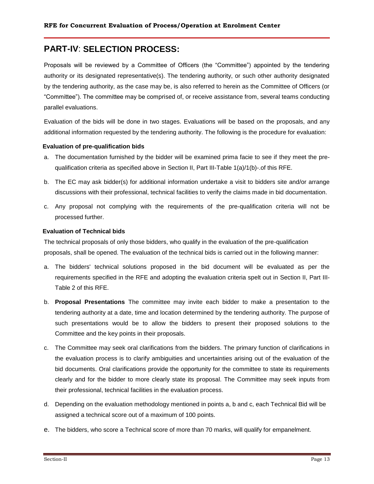# **PART-IV**: **SELECTION PROCESS:**

Proposals will be reviewed by a Committee of Officers (the "Committee") appointed by the tendering authority or its designated representative(s). The tendering authority, or such other authority designated by the tendering authority, as the case may be, is also referred to herein as the Committee of Officers (or "Committee"). The committee may be comprised of, or receive assistance from, several teams conducting parallel evaluations.

Evaluation of the bids will be done in two stages. Evaluations will be based on the proposals, and any additional information requested by the tendering authority. The following is the procedure for evaluation:

#### **Evaluation of pre-qualification bids**

- a. The documentation furnished by the bidder will be examined prima facie to see if they meet the prequalification criteria as specified above in Section II, Part III-Table 1(a)/1(b)-.of this RFE.
- b. The EC may ask bidder(s) for additional information undertake a visit to bidders site and/or arrange discussions with their professional, technical facilities to verify the claims made in bid documentation.
- c. Any proposal not complying with the requirements of the pre-qualification criteria will not be processed further.

#### **Evaluation of Technical bids**

The technical proposals of only those bidders, who qualify in the evaluation of the pre-qualification proposals, shall be opened. The evaluation of the technical bids is carried out in the following manner:

- a. The bidders' technical solutions proposed in the bid document will be evaluated as per the requirements specified in the RFE and adopting the evaluation criteria spelt out in Section II, Part III-Table 2 of this RFE.
- b. **Proposal Presentations** The committee may invite each bidder to make a presentation to the tendering authority at a date, time and location determined by the tendering authority. The purpose of such presentations would be to allow the bidders to present their proposed solutions to the Committee and the key points in their proposals.
- c. The Committee may seek oral clarifications from the bidders. The primary function of clarifications in the evaluation process is to clarify ambiguities and uncertainties arising out of the evaluation of the bid documents. Oral clarifications provide the opportunity for the committee to state its requirements clearly and for the bidder to more clearly state its proposal. The Committee may seek inputs from their professional, technical facilities in the evaluation process.
- d. Depending on the evaluation methodology mentioned in points a, b and c, each Technical Bid will be assigned a technical score out of a maximum of 100 points.
- e. The bidders, who score a Technical score of more than 70 marks, will qualify for empanelment.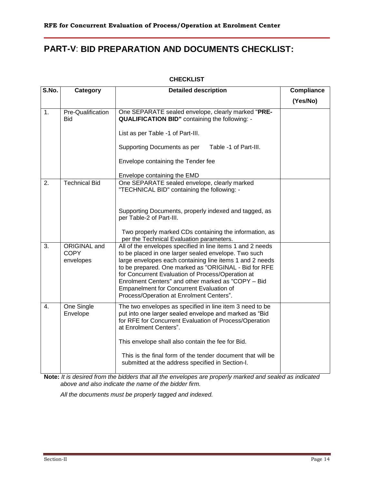# **PART-V**: **BID PREPARATION AND DOCUMENTS CHECKLIST:**

#### **CHECKLIST**

| S.No.            | Category                                 | <b>Detailed description</b>                                                                                                                                                                                                                                                                                                                                                                                                                | <b>Compliance</b> |
|------------------|------------------------------------------|--------------------------------------------------------------------------------------------------------------------------------------------------------------------------------------------------------------------------------------------------------------------------------------------------------------------------------------------------------------------------------------------------------------------------------------------|-------------------|
|                  |                                          |                                                                                                                                                                                                                                                                                                                                                                                                                                            | (Yes/No)          |
| 1.               | Pre-Qualification<br><b>Bid</b>          | One SEPARATE sealed envelope, clearly marked "PRE-<br><b>QUALIFICATION BID"</b> containing the following: -<br>List as per Table -1 of Part-III.<br>Supporting Documents as per<br>Table -1 of Part-III.                                                                                                                                                                                                                                   |                   |
|                  |                                          | Envelope containing the Tender fee<br>Envelope containing the EMD                                                                                                                                                                                                                                                                                                                                                                          |                   |
| 2.               | <b>Technical Bid</b>                     | One SEPARATE sealed envelope, clearly marked<br>"TECHNICAL BID" containing the following: -                                                                                                                                                                                                                                                                                                                                                |                   |
|                  |                                          | Supporting Documents, properly indexed and tagged, as<br>per Table-2 of Part-III.<br>Two properly marked CDs containing the information, as<br>per the Technical Evaluation parameters.                                                                                                                                                                                                                                                    |                   |
| 3.               | ORIGINAL and<br><b>COPY</b><br>envelopes | All of the envelopes specified in line items 1 and 2 needs<br>to be placed in one larger sealed envelope. Two such<br>large envelopes each containing line items 1 and 2 needs<br>to be prepared. One marked as "ORIGINAL - Bid for RFE<br>for Concurrent Evaluation of Process/Operation at<br>Enrolment Centers" and other marked as "COPY - Bid<br>Empanelment for Concurrent Evaluation of<br>Process/Operation at Enrolment Centers". |                   |
| $\overline{4}$ . | One Single<br>Envelope                   | The two envelopes as specified in line item 3 need to be<br>put into one larger sealed envelope and marked as "Bid"<br>for RFE for Concurrent Evaluation of Process/Operation<br>at Enrolment Centers".<br>This envelope shall also contain the fee for Bid.<br>This is the final form of the tender document that will be<br>submitted at the address specified in Section-I.                                                             |                   |

**Note:** *It is desired from the bidders that all the envelopes are properly marked and sealed as indicated above and also indicate the name of the bidder firm.* 

*All the documents must be properly tagged and indexed.*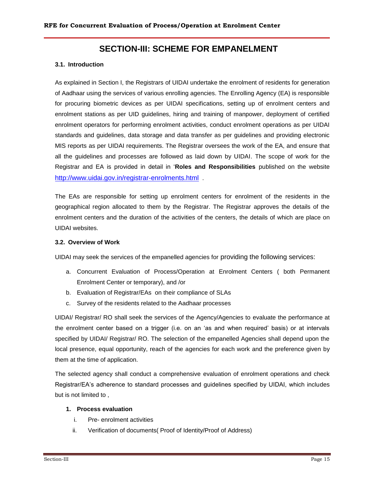### **SECTION-III: SCHEME FOR EMPANELMENT**

#### **3.1. Introduction**

As explained in Section I, the Registrars of UIDAI undertake the enrolment of residents for generation of Aadhaar using the services of various enrolling agencies. The Enrolling Agency (EA) is responsible for procuring biometric devices as per UIDAI specifications, setting up of enrolment centers and enrolment stations as per UID guidelines, hiring and training of manpower, deployment of certified enrolment operators for performing enrolment activities, conduct enrolment operations as per UIDAI standards and guidelines, data storage and data transfer as per guidelines and providing electronic MIS reports as per UIDAI requirements. The Registrar oversees the work of the EA, and ensure that all the guidelines and processes are followed as laid down by UIDAI. The scope of work for the Registrar and EA is provided in detail in "**Roles and Responsibilities** published on the website <http://www.uidai.gov.in/registrar-enrolments.html> .

The EAs are responsible for setting up enrolment centers for enrolment of the residents in the geographical region allocated to them by the Registrar. The Registrar approves the details of the enrolment centers and the duration of the activities of the centers, the details of which are place on UIDAI websites.

#### **3.2. Overview of Work**

UIDAI may seek the services of the empanelled agencies for providing the following services:

- a. Concurrent Evaluation of Process/Operation at Enrolment Centers ( both Permanent Enrolment Center or temporary), and /or
- b. Evaluation of Registrar/EAs on their compliance of SLAs
- c. Survey of the residents related to the Aadhaar processes

UIDAI/ Registrar/ RO shall seek the services of the Agency/Agencies to evaluate the performance at the enrolment center based on a trigger (i.e. on an "as and when required" basis) or at intervals specified by UIDAI/ Registrar/ RO. The selection of the empanelled Agencies shall depend upon the local presence, equal opportunity, reach of the agencies for each work and the preference given by them at the time of application.

The selected agency shall conduct a comprehensive evaluation of enrolment operations and check Registrar/EA"s adherence to standard processes and guidelines specified by UIDAI, which includes but is not limited to ,

#### **1. Process evaluation**

- i. Pre- enrolment activities
- ii. Verification of documents( Proof of Identity/Proof of Address)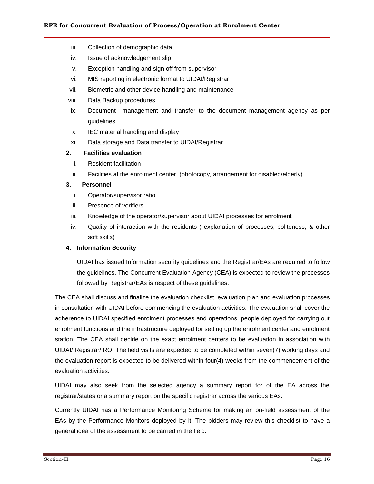- iii. Collection of demographic data
- iv. Issue of acknowledgement slip
- v. Exception handling and sign off from supervisor
- vi. MIS reporting in electronic format to UIDAI/Registrar
- vii. Biometric and other device handling and maintenance
- viii. Data Backup procedures
- ix. Document management and transfer to the document management agency as per guidelines
- x. IEC material handling and display
- xi. Data storage and Data transfer to UIDAI/Registrar

#### **2. Facilities evaluation**

- i. Resident facilitation
- ii. Facilities at the enrolment center, (photocopy, arrangement for disabled/elderly)

#### **3. Personnel**

- i. Operator/supervisor ratio
- ii. Presence of verifiers
- iii. Knowledge of the operator/supervisor about UIDAI processes for enrolment
- iv. Quality of interaction with the residents ( explanation of processes, politeness, & other soft skills)

#### **4. Information Security**

UIDAI has issued Information security guidelines and the Registrar/EAs are required to follow the guidelines. The Concurrent Evaluation Agency (CEA) is expected to review the processes followed by Registrar/EAs is respect of these guidelines.

The CEA shall discuss and finalize the evaluation checklist, evaluation plan and evaluation processes in consultation with UIDAI before commencing the evaluation activities. The evaluation shall cover the adherence to UIDAI specified enrolment processes and operations, people deployed for carrying out enrolment functions and the infrastructure deployed for setting up the enrolment center and enrolment station. The CEA shall decide on the exact enrolment centers to be evaluation in association with UIDAI/ Registrar/ RO. The field visits are expected to be completed within seven(7) working days and the evaluation report is expected to be delivered within four(4) weeks from the commencement of the evaluation activities.

UIDAI may also seek from the selected agency a summary report for of the EA across the registrar/states or a summary report on the specific registrar across the various EAs.

Currently UIDAI has a Performance Monitoring Scheme for making an on-field assessment of the EAs by the Performance Monitors deployed by it. The bidders may review this checklist to have a general idea of the assessment to be carried in the field.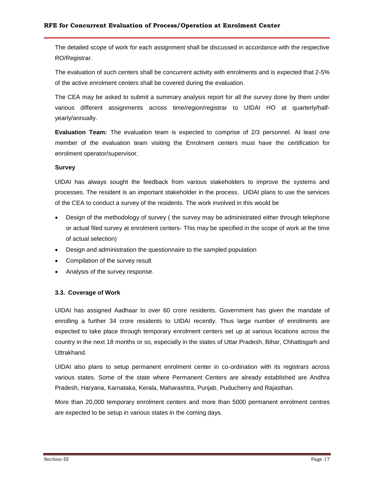The detailed scope of work for each assignment shall be discussed in accordance with the respective RO/Registrar.

The evaluation of such centers shall be concurrent activity with enrolments and is expected that 2-5% of the active enrolment centers shall be covered during the evaluation.

The CEA may be asked to submit a summary analysis report for all the survey done by them under various different assignments across time/region/registrar to UIDAI HO at quarterly/halfyearly/annually.

**Evaluation Team:** The evaluation team is expected to comprise of 2/3 personnel. At least one member of the evaluation team visiting the Enrolment centers must have the certification for enrolment operator/supervisor.

#### **Survey**

UIDAI has always sought the feedback from various stakeholders to improve the systems and processes. The resident is an important stakeholder in the process. UIDAI plans to use the services of the CEA to conduct a survey of the residents. The work involved in this would be

- Design of the methodology of survey ( the survey may be administrated either through telephone or actual filed survey at enrolment centers- This may be specified in the scope of work at the time of actual selection)
- Design and administration the questionnaire to the sampled population
- Compilation of the survey result
- Analysis of the survey response.

#### **3.3. Coverage of Work**

UIDAI has assigned Aadhaar to over 60 crore residents. Government has given the mandate of enrolling a further 34 crore residents to UIDAI recently. Thus large number of enrolments are expected to take place through temporary enrolment centers set up at various locations across the country in the next 18 months or so, especially in the states of Uttar Pradesh, Bihar, Chhattisgarh and Uttrakhand.

UIDAI also plans to setup permanent enrolment center in co-ordination with its registrars across various states. Some of the state where Permanent Centers are already established are Andhra Pradesh, Haryana, Karnataka, Kerala, Maharashtra, Punjab, Puducherry and Rajasthan.

More than 20,000 temporary enrolment centers and more than 5000 permanent enrolment centres are expected to be setup in various states in the coming days.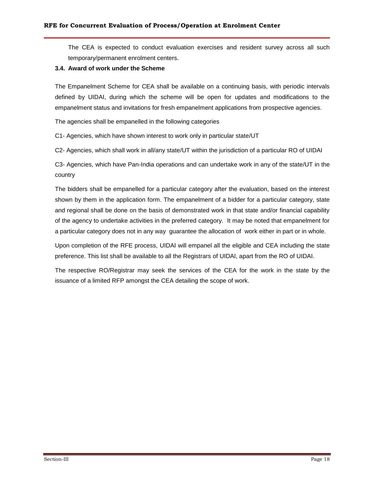The CEA is expected to conduct evaluation exercises and resident survey across all such temporary/permanent enrolment centers.

#### **3.4. Award of work under the Scheme**

The Empanelment Scheme for CEA shall be available on a continuing basis, with periodic intervals defined by UIDAI, during which the scheme will be open for updates and modifications to the empanelment status and invitations for fresh empanelment applications from prospective agencies.

The agencies shall be empanelled in the following categories

C1- Agencies, which have shown interest to work only in particular state/UT

C2- Agencies, which shall work in all/any state/UT within the jurisdiction of a particular RO of UIDAI

C3- Agencies, which have Pan-India operations and can undertake work in any of the state/UT in the country

The bidders shall be empanelled for a particular category after the evaluation, based on the interest shown by them in the application form. The empanelment of a bidder for a particular category, state and regional shall be done on the basis of demonstrated work in that state and/or financial capability of the agency to undertake activities in the preferred category. It may be noted that empanelment for a particular category does not in any way guarantee the allocation of work either in part or in whole.

Upon completion of the RFE process, UIDAI will empanel all the eligible and CEA including the state preference. This list shall be available to all the Registrars of UIDAI, apart from the RO of UIDAI.

The respective RO/Registrar may seek the services of the CEA for the work in the state by the issuance of a limited RFP amongst the CEA detailing the scope of work.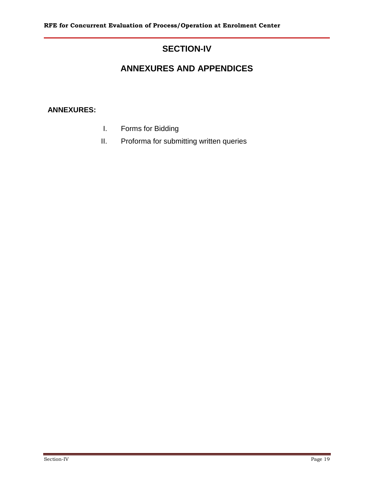# **SECTION-IV**

# **ANNEXURES AND APPENDICES**

### **ANNEXURES:**

- I. Forms for Bidding
- II. Proforma for submitting written queries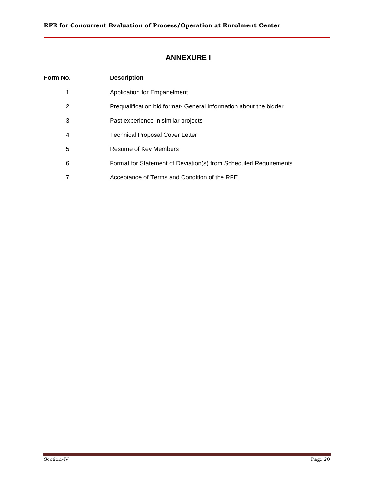## **ANNEXURE I**

| Form No. | <b>Description</b>                                                |
|----------|-------------------------------------------------------------------|
| 1        | <b>Application for Empanelment</b>                                |
| 2        | Prequalification bid format- General information about the bidder |
| 3        | Past experience in similar projects                               |
| 4        | <b>Technical Proposal Cover Letter</b>                            |
| 5        | Resume of Key Members                                             |
| 6        | Format for Statement of Deviation(s) from Scheduled Requirements  |
| 7        | Acceptance of Terms and Condition of the RFE                      |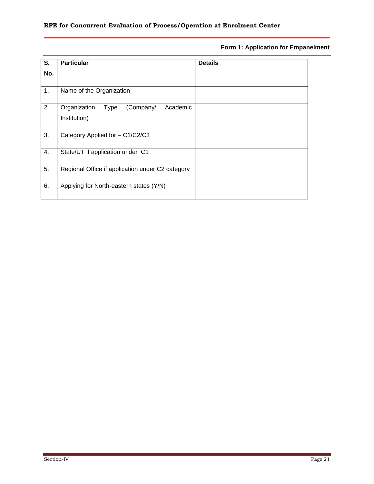#### **Form 1: Application for Empanelment**

| S.  | <b>Particular</b>                                             | <b>Details</b> |
|-----|---------------------------------------------------------------|----------------|
| No. |                                                               |                |
| 1.  | Name of the Organization                                      |                |
| 2.  | (Company/<br>Organization<br>Academic<br>Type<br>Institution) |                |
| 3.  | Category Applied for - C1/C2/C3                               |                |
| 4.  | State/UT if application under C1                              |                |
| 5.  | Regional Office if application under C2 category              |                |
| 6.  | Applying for North-eastern states (Y/N)                       |                |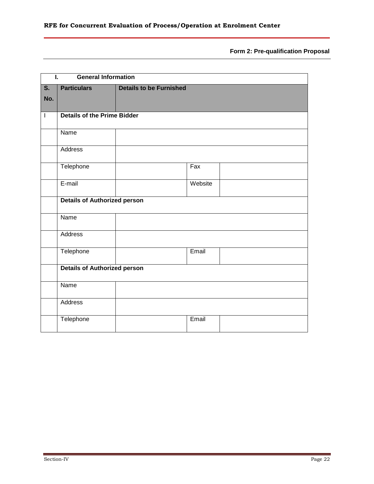**Form 2: Pre-qualification Proposal**

| Ī.                        | <b>General Information</b>          |                                |         |  |
|---------------------------|-------------------------------------|--------------------------------|---------|--|
| $\overline{\mathsf{s}}$ . | <b>Particulars</b>                  | <b>Details to be Furnished</b> |         |  |
| No.                       |                                     |                                |         |  |
| $\overline{\phantom{a}}$  | <b>Details of the Prime Bidder</b>  |                                |         |  |
|                           |                                     |                                |         |  |
|                           | Name                                |                                |         |  |
|                           | <b>Address</b>                      |                                |         |  |
|                           | Telephone                           |                                | Fax     |  |
|                           | E-mail                              |                                | Website |  |
|                           | <b>Details of Authorized person</b> |                                |         |  |
|                           | Name                                |                                |         |  |
|                           | Address                             |                                |         |  |
|                           | Telephone                           |                                | Email   |  |
|                           | <b>Details of Authorized person</b> |                                |         |  |
|                           | Name                                |                                |         |  |
|                           | Address                             |                                |         |  |
|                           | Telephone                           |                                | Email   |  |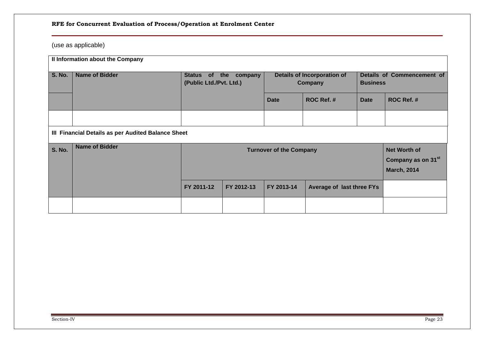# (use as applicable)

|               | Il Information about the Company                   |                                                                                                               |             |                                        |                           |                                               |            |
|---------------|----------------------------------------------------|---------------------------------------------------------------------------------------------------------------|-------------|----------------------------------------|---------------------------|-----------------------------------------------|------------|
| <b>S. No.</b> | <b>Name of Bidder</b>                              | Status of<br>(Public Ltd./Pvt. Ltd.)                                                                          | the company | Details of Incorporation of<br>Company |                           | Details of Commencement of<br><b>Business</b> |            |
|               |                                                    |                                                                                                               |             | <b>Date</b>                            | ROC Ref. #                | <b>Date</b>                                   | ROC Ref. # |
|               |                                                    |                                                                                                               |             |                                        |                           |                                               |            |
|               | III Financial Details as per Audited Balance Sheet |                                                                                                               |             |                                        |                           |                                               |            |
| <b>S. No.</b> | <b>Name of Bidder</b>                              | <b>Net Worth of</b><br><b>Turnover of the Company</b><br>Company as on 31 <sup>st</sup><br><b>March, 2014</b> |             |                                        |                           |                                               |            |
|               |                                                    | FY 2011-12                                                                                                    | FY 2012-13  | FY 2013-14                             | Average of last three FYs |                                               |            |
|               |                                                    |                                                                                                               |             |                                        |                           |                                               |            |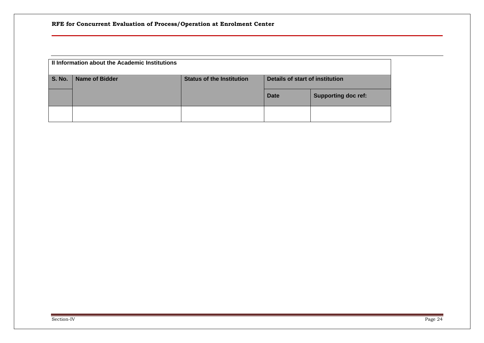| Il Information about the Academic Institutions |                       |                                  |                                 |                            |  |
|------------------------------------------------|-----------------------|----------------------------------|---------------------------------|----------------------------|--|
| <b>S. No.</b>                                  | <b>Name of Bidder</b> | <b>Status of the Institution</b> | Details of start of institution |                            |  |
|                                                |                       |                                  | Date                            | <b>Supporting doc ref:</b> |  |
|                                                |                       |                                  |                                 |                            |  |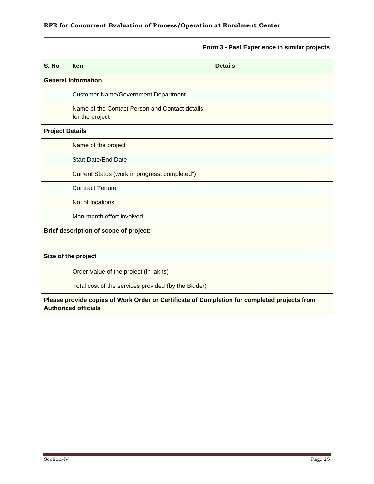### **Form 3 - Past Experience in similar projects**

| S. No                  | <b>Item</b>                                                                                                                 | <b>Details</b> |  |  |  |
|------------------------|-----------------------------------------------------------------------------------------------------------------------------|----------------|--|--|--|
|                        | <b>General Information</b>                                                                                                  |                |  |  |  |
|                        | <b>Customer Name/Government Department</b>                                                                                  |                |  |  |  |
|                        | Name of the Contact Person and Contact details<br>for the project                                                           |                |  |  |  |
| <b>Project Details</b> |                                                                                                                             |                |  |  |  |
|                        | Name of the project                                                                                                         |                |  |  |  |
|                        | <b>Start Date/End Date</b>                                                                                                  |                |  |  |  |
|                        | Current Status (work in progress, completed <sup>1</sup> )                                                                  |                |  |  |  |
|                        | <b>Contract Tenure</b>                                                                                                      |                |  |  |  |
|                        | No. of locations                                                                                                            |                |  |  |  |
|                        | Man-month effort involved                                                                                                   |                |  |  |  |
|                        | Brief description of scope of project:                                                                                      |                |  |  |  |
|                        | Size of the project                                                                                                         |                |  |  |  |
|                        | Order Value of the project (in lakhs)                                                                                       |                |  |  |  |
|                        | Total cost of the services provided (by the Bidder)                                                                         |                |  |  |  |
|                        | Please provide copies of Work Order or Certificate of Completion for completed projects from<br><b>Authorized officials</b> |                |  |  |  |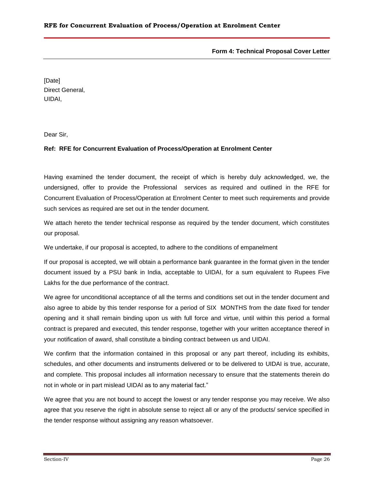#### **Form 4: Technical Proposal Cover Letter**

[Date] Direct General, UIDAI,

Dear Sir,

#### **Ref: RFE for Concurrent Evaluation of Process/Operation at Enrolment Center**

Having examined the tender document, the receipt of which is hereby duly acknowledged, we, the undersigned, offer to provide the Professional services as required and outlined in the RFE for Concurrent Evaluation of Process/Operation at Enrolment Center to meet such requirements and provide such services as required are set out in the tender document.

We attach hereto the tender technical response as required by the tender document, which constitutes our proposal.

We undertake, if our proposal is accepted, to adhere to the conditions of empanelment

If our proposal is accepted, we will obtain a performance bank guarantee in the format given in the tender document issued by a PSU bank in India, acceptable to UIDAI, for a sum equivalent to Rupees Five Lakhs for the due performance of the contract.

We agree for unconditional acceptance of all the terms and conditions set out in the tender document and also agree to abide by this tender response for a period of SIX MONTHS from the date fixed for tender opening and it shall remain binding upon us with full force and virtue, until within this period a formal contract is prepared and executed, this tender response, together with your written acceptance thereof in your notification of award, shall constitute a binding contract between us and UIDAI.

We confirm that the information contained in this proposal or any part thereof, including its exhibits, schedules, and other documents and instruments delivered or to be delivered to UIDAI is true, accurate, and complete. This proposal includes all information necessary to ensure that the statements therein do not in whole or in part mislead UIDAI as to any material fact."

We agree that you are not bound to accept the lowest or any tender response you may receive. We also agree that you reserve the right in absolute sense to reject all or any of the products/ service specified in the tender response without assigning any reason whatsoever.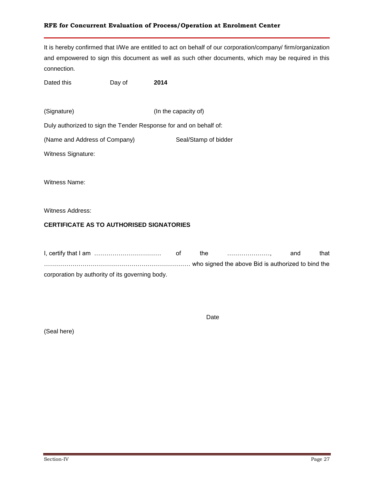It is hereby confirmed that I/We are entitled to act on behalf of our corporation/company/ firm/organization and empowered to sign this document as well as such other documents, which may be required in this connection.

Dated this **Day of** 2014

(Signature) (In the capacity of)

Duly authorized to sign the Tender Response for and on behalf of:

(Name and Address of Company) Seal/Stamp of bidder

Witness Signature:

Witness Name:

Witness Address:

#### **CERTIFICATE AS TO AUTHORISED SIGNATORIES**

|                                                 | the | and | that |
|-------------------------------------------------|-----|-----|------|
|                                                 |     |     |      |
| corporation by authority of its governing body. |     |     |      |

Date

(Seal here)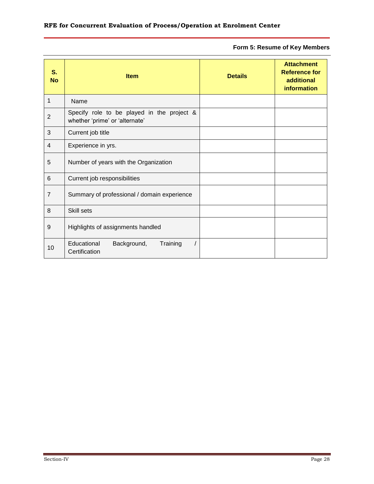**Form 5: Resume of Key Members**

| S.<br><b>No</b> | <b>Item</b>                                                                  | <b>Details</b> | <b>Attachment</b><br><b>Reference for</b><br>additional<br><b>information</b> |
|-----------------|------------------------------------------------------------------------------|----------------|-------------------------------------------------------------------------------|
| 1               | Name                                                                         |                |                                                                               |
| $\overline{2}$  | Specify role to be played in the project &<br>whether 'prime' or 'alternate' |                |                                                                               |
| 3               | Current job title                                                            |                |                                                                               |
| 4               | Experience in yrs.                                                           |                |                                                                               |
| 5               | Number of years with the Organization                                        |                |                                                                               |
| 6               | Current job responsibilities                                                 |                |                                                                               |
| $\overline{7}$  | Summary of professional / domain experience                                  |                |                                                                               |
| 8               | Skill sets                                                                   |                |                                                                               |
| 9               | Highlights of assignments handled                                            |                |                                                                               |
| 10              | Educational<br>Background,<br>Training<br>Certification                      |                |                                                                               |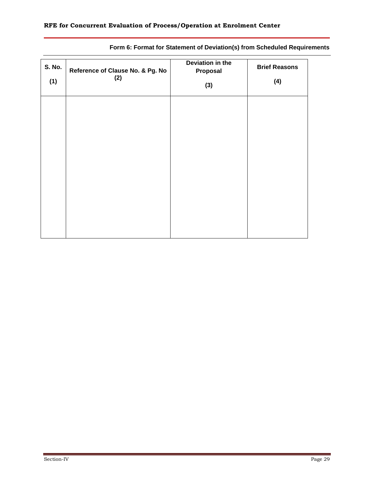| <b>S. No.</b><br>(1) | Reference of Clause No. & Pg. No<br>(2) | Deviation in the<br>Proposal<br>(3) | <b>Brief Reasons</b><br>(4) |
|----------------------|-----------------------------------------|-------------------------------------|-----------------------------|
|                      |                                         |                                     |                             |
|                      |                                         |                                     |                             |
|                      |                                         |                                     |                             |
|                      |                                         |                                     |                             |

### **Form 6: Format for Statement of Deviation(s) from Scheduled Requirements**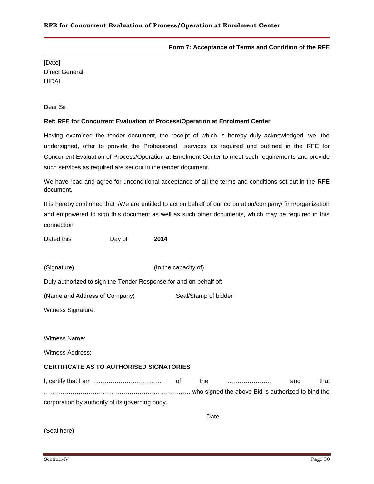#### **Form 7: Acceptance of Terms and Condition of the RFE**

[Date] Direct General, UIDAI,

Dear Sir,

#### **Ref: RFE for Concurrent Evaluation of Process/Operation at Enrolment Center**

Having examined the tender document, the receipt of which is hereby duly acknowledged, we, the undersigned, offer to provide the Professional services as required and outlined in the RFE for Concurrent Evaluation of Process/Operation at Enrolment Center to meet such requirements and provide such services as required are set out in the tender document.

We have read and agree for unconditional acceptance of all the terms and conditions set out in the RFE document.

It is hereby confirmed that I/We are entitled to act on behalf of our corporation/company/ firm/organization and empowered to sign this document as well as such other documents, which may be required in this connection.

Dated this **Day of** 2014

(Signature) (In the capacity of)

Duly authorized to sign the Tender Response for and on behalf of:

(Name and Address of Company) Seal/Stamp of bidder

Witness Signature:

Witness Name:

Witness Address:

#### **CERTIFICATE AS TO AUTHORISED SIGNATORIES**

I, certify that I am …………………………… of the …………………, and that ……………………………………………………………… who signed the above Bid is authorized to bind the corporation by authority of its governing body.

Date

(Seal here)